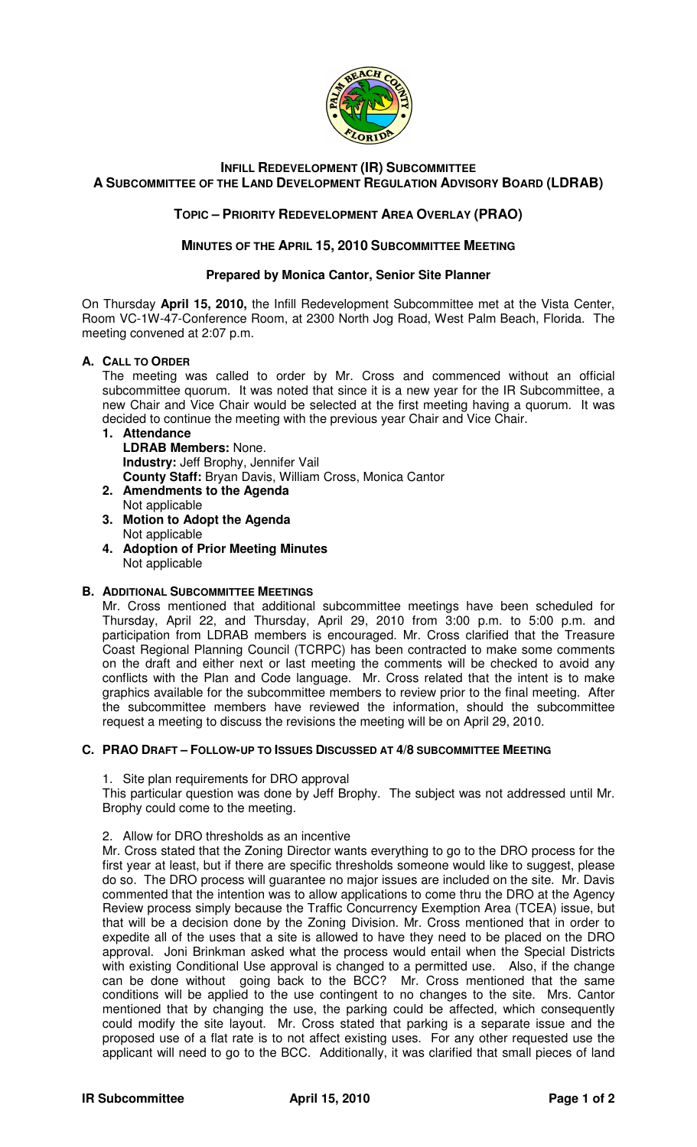

## **INFILL REDEVELOPMENT (IR) SUBCOMMITTEE A SUBCOMMITTEE OF THE LAND DEVELOPMENT REGULATION ADVISORY BOARD (LDRAB)**

# **TOPIC – PRIORITY REDEVELOPMENT AREA OVERLAY (PRAO)**

### **MINUTES OF THE APRIL 15, 2010 SUBCOMMITTEE MEETING**

#### **Prepared by Monica Cantor, Senior Site Planner**

On Thursday **April 15, 2010,** the Infill Redevelopment Subcommittee met at the Vista Center, Room VC-1W-47-Conference Room, at 2300 North Jog Road, West Palm Beach, Florida. The meeting convened at 2:07 p.m.

### **A. CALL TO ORDER**

The meeting was called to order by Mr. Cross and commenced without an official subcommittee quorum. It was noted that since it is a new year for the IR Subcommittee, a new Chair and Vice Chair would be selected at the first meeting having a quorum. It was decided to continue the meeting with the previous year Chair and Vice Chair.

#### **1. Attendance LDRAB Members:** None.

**Industry:** Jeff Brophy, Jennifer Vail

- **County Staff:** Bryan Davis, William Cross, Monica Cantor
- **2. Amendments to the Agenda**  Not applicable
- **3. Motion to Adopt the Agenda**  Not applicable
- **4. Adoption of Prior Meeting Minutes**  Not applicable

### **B. ADDITIONAL SUBCOMMITTEE MEETINGS**

Mr. Cross mentioned that additional subcommittee meetings have been scheduled for Thursday, April 22, and Thursday, April 29, 2010 from 3:00 p.m. to 5:00 p.m. and participation from LDRAB members is encouraged. Mr. Cross clarified that the Treasure Coast Regional Planning Council (TCRPC) has been contracted to make some comments on the draft and either next or last meeting the comments will be checked to avoid any conflicts with the Plan and Code language. Mr. Cross related that the intent is to make graphics available for the subcommittee members to review prior to the final meeting. After the subcommittee members have reviewed the information, should the subcommittee request a meeting to discuss the revisions the meeting will be on April 29, 2010.

### **C. PRAO DRAFT – FOLLOW-UP TO ISSUES DISCUSSED AT 4/8 SUBCOMMITTEE MEETING**

1. Site plan requirements for DRO approval

This particular question was done by Jeff Brophy. The subject was not addressed until Mr. Brophy could come to the meeting.

### 2. Allow for DRO thresholds as an incentive

Mr. Cross stated that the Zoning Director wants everything to go to the DRO process for the first year at least, but if there are specific thresholds someone would like to suggest, please do so. The DRO process will guarantee no major issues are included on the site. Mr. Davis commented that the intention was to allow applications to come thru the DRO at the Agency Review process simply because the Traffic Concurrency Exemption Area (TCEA) issue, but that will be a decision done by the Zoning Division. Mr. Cross mentioned that in order to expedite all of the uses that a site is allowed to have they need to be placed on the DRO approval. Joni Brinkman asked what the process would entail when the Special Districts with existing Conditional Use approval is changed to a permitted use. Also, if the change can be done without going back to the BCC? Mr. Cross mentioned that the same conditions will be applied to the use contingent to no changes to the site. Mrs. Cantor mentioned that by changing the use, the parking could be affected, which consequently could modify the site layout. Mr. Cross stated that parking is a separate issue and the proposed use of a flat rate is to not affect existing uses. For any other requested use the applicant will need to go to the BCC. Additionally, it was clarified that small pieces of land